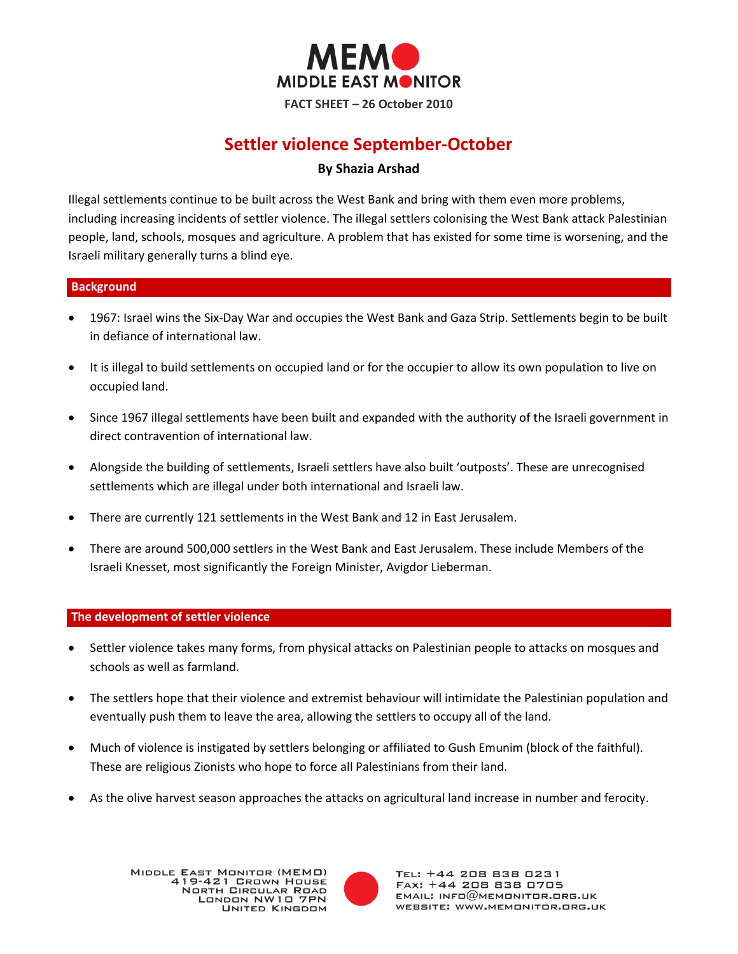

# **Settler violence September-October**

# **By Shazia Arshad**

Illegal settlements continue to be built across the West Bank and bring with them even more problems, including increasing incidents of settler violence. The illegal settlers colonising the West Bank attack Palestinian people, land, schools, mosques and agriculture. A problem that has existed for some time is worsening, and the Israeli military generally turns a blind eye.

# **Background**

- 1967: Israel wins the Six-Day War and occupies the West Bank and Gaza Strip. Settlements begin to be built in defiance of international law.
- It is illegal to build settlements on occupied land or for the occupier to allow its own population to live on occupied land.
- Since 1967 illegal settlements have been built and expanded with the authority of the Israeli government in direct contravention of international law.
- Alongside the building of settlements, Israeli settlers have also built 'outposts'. These are unrecognised settlements which are illegal under both international and Israeli law.
- There are currently 121 settlements in the West Bank and 12 in East Jerusalem.
- There are around 500,000 settlers in the West Bank and East Jerusalem. These include Members of the Israeli Knesset, most significantly the Foreign Minister, Avigdor Lieberman.

# **The development of settler violence**

- Settler violence takes many forms, from physical attacks on Palestinian people to attacks on mosques and schools as well as farmland.
- The settlers hope that their violence and extremist behaviour will intimidate the Palestinian population and eventually push them to leave the area, allowing the settlers to occupy all of the land.
- Much of violence is instigated by settlers belonging or affiliated to Gush Emunim (block of the faithful). These are religious Zionists who hope to force all Palestinians from their land.
- As the olive harvest season approaches the attacks on agricultural land increase in number and ferocity.

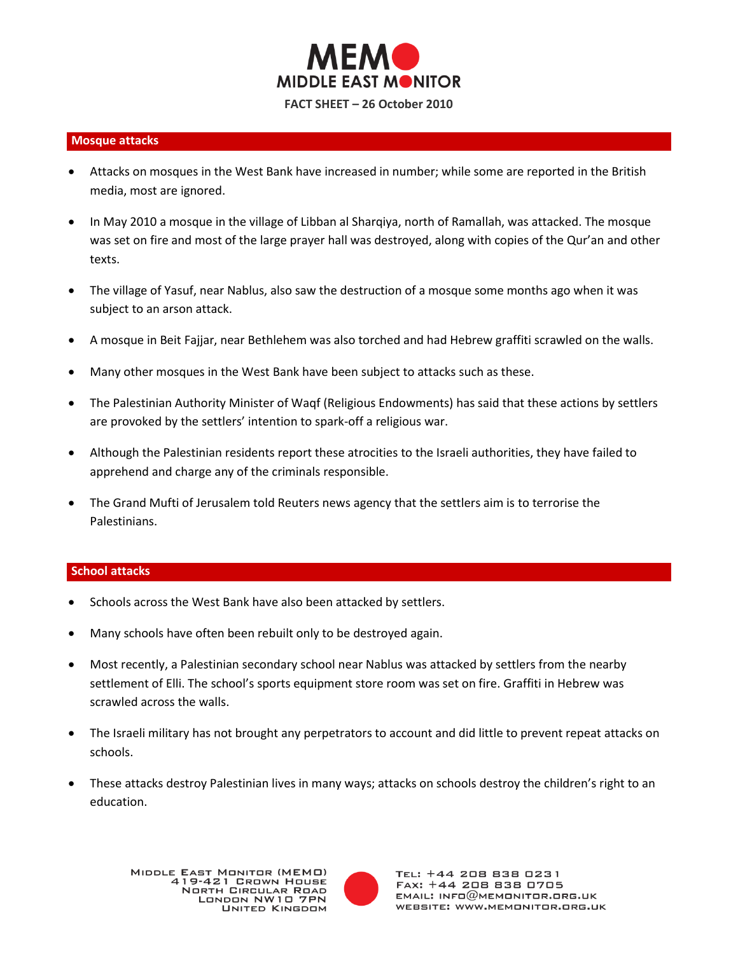

#### **Mosque attacks**

- Attacks on mosques in the West Bank have increased in number; while some are reported in the British media, most are ignored.
- In May 2010 a mosque in the village of Libban al Sharqiya, north of Ramallah, was attacked. The mosque was set on fire and most of the large prayer hall was destroyed, along with copies of the Qur'an and other texts.
- The village of Yasuf, near Nablus, also saw the destruction of a mosque some months ago when it was subject to an arson attack.
- A mosque in Beit Fajjar, near Bethlehem was also torched and had Hebrew graffiti scrawled on the walls.
- Many other mosques in the West Bank have been subject to attacks such as these.
- The Palestinian Authority Minister of Waqf (Religious Endowments) has said that these actions by settlers are provoked by the settlers' intention to spark-off a religious war.
- Although the Palestinian residents report these atrocities to the Israeli authorities, they have failed to apprehend and charge any of the criminals responsible.
- The Grand Mufti of Jerusalem told Reuters news agency that the settlers aim is to terrorise the Palestinians.

#### **School attacks**

- Schools across the West Bank have also been attacked by settlers.
- Many schools have often been rebuilt only to be destroyed again.
- Most recently, a Palestinian secondary school near Nablus was attacked by settlers from the nearby settlement of Elli. The school's sports equipment store room was set on fire. Graffiti in Hebrew was scrawled across the walls.
- The Israeli military has not brought any perpetrators to account and did little to prevent repeat attacks on schools.
- These attacks destroy Palestinian lives in many ways; attacks on schools destroy the children's right to an education.

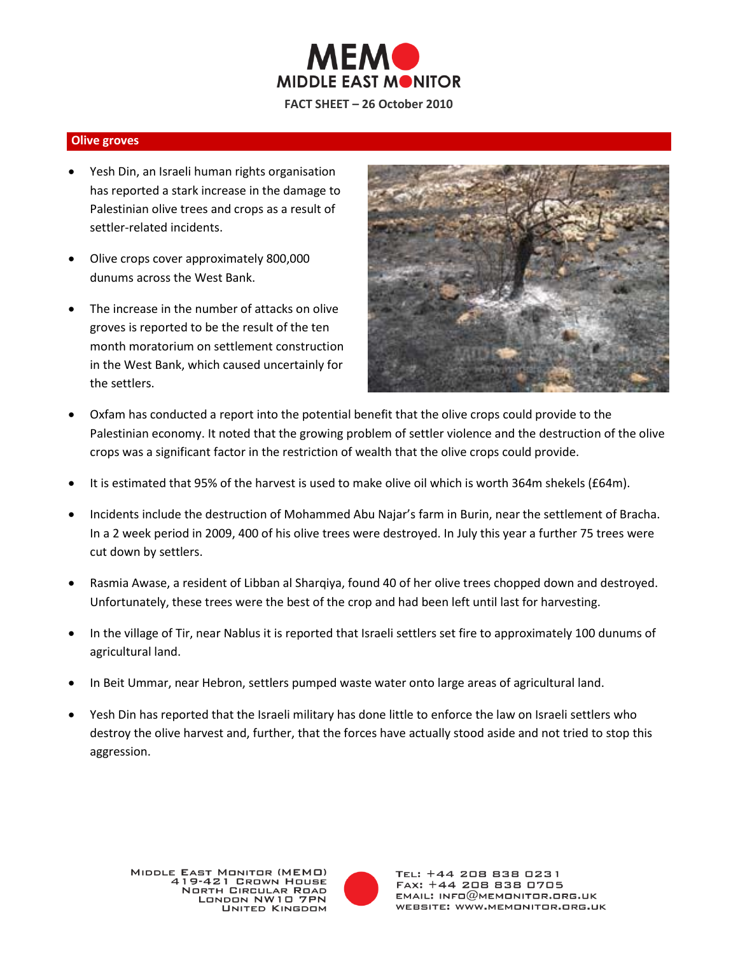

#### **Olive groves**

- Yesh Din, an Israeli human rights organisation has reported a stark increase in the damage to Palestinian olive trees and crops as a result of settler-related incidents.
- Olive crops cover approximately 800,000 dunums across the West Bank.
- The increase in the number of attacks on olive groves is reported to be the result of the ten month moratorium on settlement construction in the West Bank, which caused uncertainly for the settlers.



- Oxfam has conducted a report into the potential benefit that the olive crops could provide to the Palestinian economy. It noted that the growing problem of settler violence and the destruction of the olive crops was a significant factor in the restriction of wealth that the olive crops could provide.
- It is estimated that 95% of the harvest is used to make olive oil which is worth 364m shekels (£64m).
- Incidents include the destruction of Mohammed Abu Najar's farm in Burin, near the settlement of Bracha. In a 2 week period in 2009, 400 of his olive trees were destroyed. In July this year a further 75 trees were cut down by settlers.
- Rasmia Awase, a resident of Libban al Sharqiya, found 40 of her olive trees chopped down and destroyed. Unfortunately, these trees were the best of the crop and had been left until last for harvesting.
- In the village of Tir, near Nablus it is reported that Israeli settlers set fire to approximately 100 dunums of agricultural land.
- In Beit Ummar, near Hebron, settlers pumped waste water onto large areas of agricultural land.
- Yesh Din has reported that the Israeli military has done little to enforce the law on Israeli settlers who destroy the olive harvest and, further, that the forces have actually stood aside and not tried to stop this aggression.

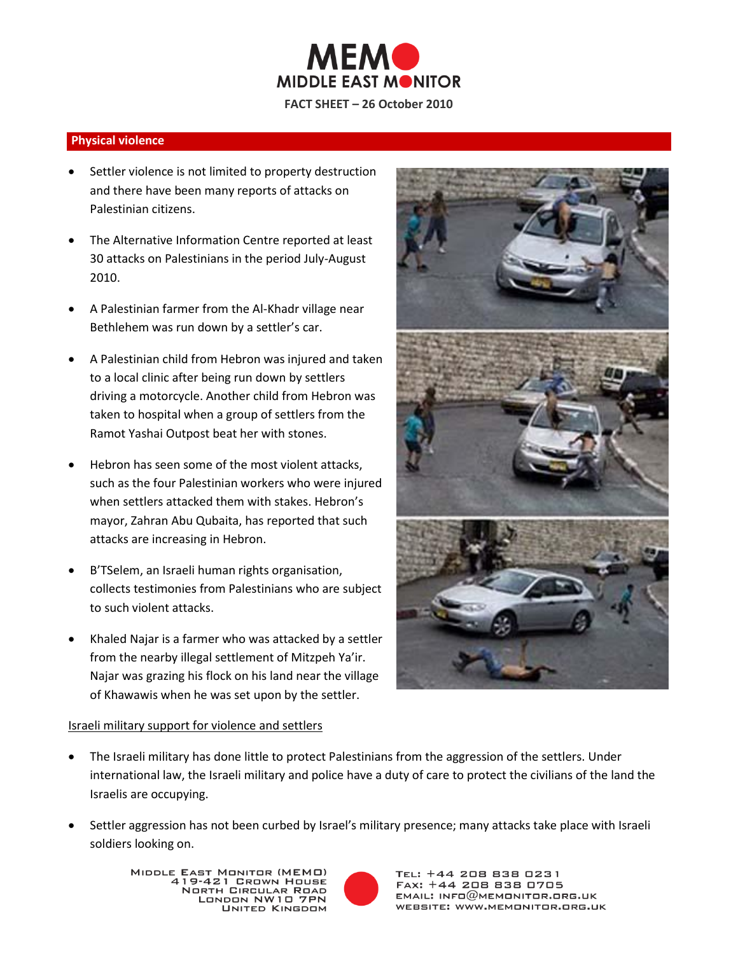

# **Physical violence**

- Settler violence is not limited to property destruction and there have been many reports of attacks on Palestinian citizens.
- The Alternative Information Centre reported at least 30 attacks on Palestinians in the period July-August 2010.
- A Palestinian farmer from the Al-Khadr village near Bethlehem was run down by a settler's car.
- A Palestinian child from Hebron was injured and taken to a local clinic after being run down by settlers driving a motorcycle. Another child from Hebron was taken to hospital when a group of settlers from the Ramot Yashai Outpost beat her with stones.
- Hebron has seen some of the most violent attacks, such as the four Palestinian workers who were injured when settlers attacked them with stakes. Hebron's mayor, Zahran Abu Qubaita, has reported that such attacks are increasing in Hebron.
- B'TSelem, an Israeli human rights organisation, collects testimonies from Palestinians who are subject to such violent attacks.
- Khaled Najar is a farmer who was attacked by a settler from the nearby illegal settlement of Mitzpeh Ya'ir. Najar was grazing his flock on his land near the village of Khawawis when he was set upon by the settler.



- The Israeli military has done little to protect Palestinians from the aggression of the settlers. Under international law, the Israeli military and police have a duty of care to protect the civilians of the land the Israelis are occupying.
- Settler aggression has not been curbed by Israel's military presence; many attacks take place with Israeli soldiers looking on.

MIDDLE EAST MONITOR (MEMO) - EAST MONTER (MEMO) **NORTH CIRCULAR ROAD** LONDON NW10 7PN **UNITED KINGDOM**